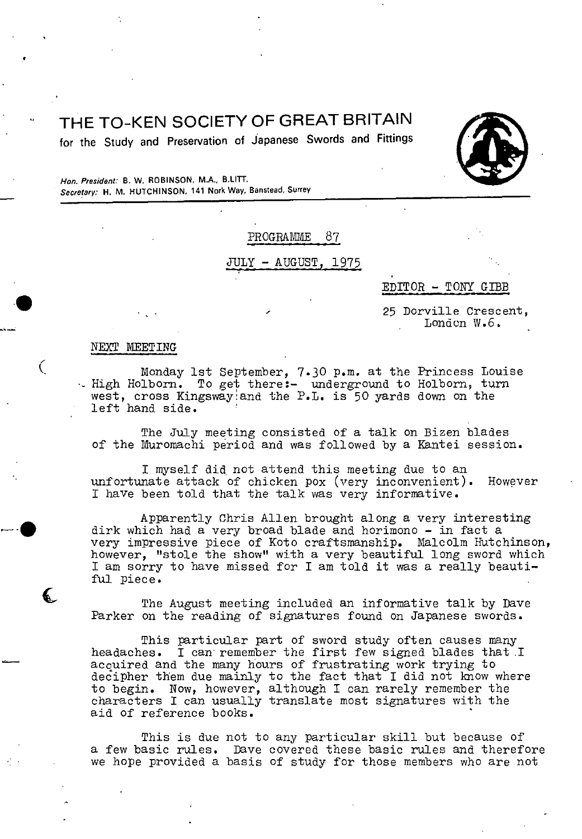# ° THE TO-KEN SOCIETY OF GREAT BRITAIN

**for the Study and Preservation of Japanese Swords and Fittings** 



**Hon. President: B. W. ROBINSON,** MA., **B.LITT. Secretary: H. M. HIJTCHINSON, 141 Nork Way, Banstead, Surrey** 

PROGRAMME 87

# AUGUST, 1975

EDITOR - TOW! GIBB

25 Dorville Crescent, London W.6,

#### NEXT MEETING

t

( Monday 1st September, 7.30 p.m. at the Princess Louise . High Holborn. To get there:- underground to Holborn, turn west, cross Kingsway:and the P.L. is 50 yards down on the left hand side.

> The July meeting consisted of a talk on Bizen blades of the Muromachi period and was followed by a Kantei session.

I myself did, not attend this meeting due to an unfortunate attack of chicken pox (very inconvenient). However I have been told that the talk was very informative.

Apparently Chris Allen brought along a very interesting dirk which had a very broad blade and horimono - in fact a very impressive piece of Koto craftsmanship. Malcolm Hutchinson, however, "stole the show" with a very beautiful long sword which I am sorry to have missed for I am told it was a really beautiful piece.

The August meeting included an informative talk by Dave Parker on the reading of signatures found on Japanese swords.

This particular part of sword study often causes many<br>headaches. I can remember the first few signed blades that I can remember the first few signed blades that I acquired and the many hours of frustrating work trying to decipher them due mainly to the fact that I did not imow where to begin. Now, however, although I can rarely remember the characters I can usually translate most signatures with the aid of reference books.

This is due not to any particular skill but because of a few basic rules. Dave covered these basic rules and therefore we hope provided a basis of study for those members who are not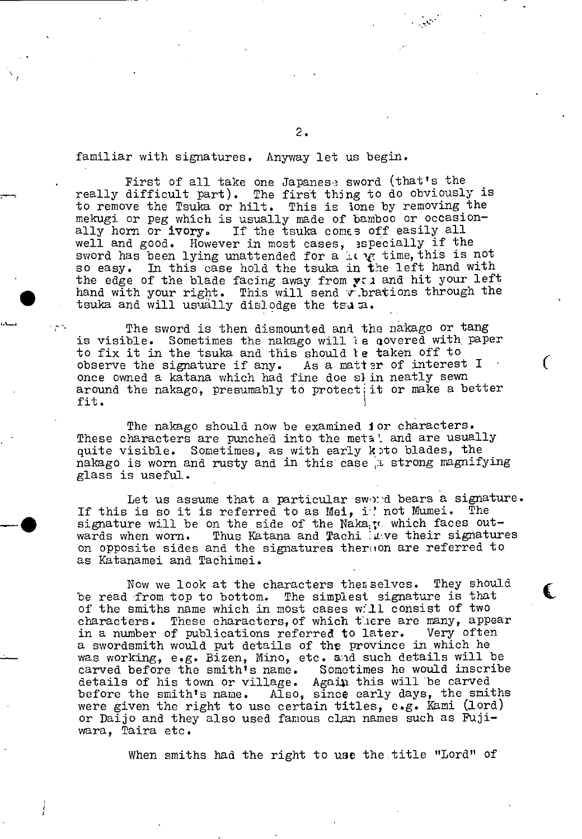familiar with signatures. Anyway let us begin.

First of all take one Japanese sword (that's the really difficult part). The first thing to do obviously is to remove the Tsuka or hilt. This is lone by removing the mekugi or peg which is usually made of bamboo or occasionally horn or  $ivory$ . If the tsuka comes off easily all well and good. However in most cases, 3specially if the sword has been lying unattended for a is  $\psi$  time, this is not so easy. In this case hold the tsuka in the left hand with the edge of the blade facing away from  $\gamma$  and hit your left hand with your right. This will send vibrations through the tsuka and will usually dislodge the tsu z.

The sword is then dismounted and the nakago or tang is visible. Sometimes the nakago will ie qovered with paper to fix it in the tsuka and this should le taken off to observe the signature if any. As a matter of interest  $I$ once owned a katana which had fine doe sl.in neatly sewn around the nakago, presumably to protect, it or make a better fit.

 $\left($ 

C.

The nakago should now be examined ior characters. These characters are punched into the metal and are usually quite visible. Sometimes, as with early koto blades, the nakago is worn and rusty and in this case a strong magnifying glass is useful.

Let us assume that a particular sword bears a signature.<br>In so it is referred to as Mei. if not Mumei. The If this is so it is referred to as Mei, i' not Mumei. signature will be on the side of the Naka<sub>is</sub> which faces outwards when worn. Thus Katana and Tachi :uve their signatures on opposite sides and the signatures thereion are referred to as Katanamei and Tachimei.

Now we look at the characters themselves. They should be read -from top to bottom. The simplest signature is that of the smiths name which in most cases will consist of two characters. These characters, of which there are many, appear in a number of publications referred to later. Very often a swordsmith would put details of the province in which he was working, e.g. Bizen, Mino, etc. a:d such details will be carved before the smith's name. Sometimes he would inscribe details of his town or village. Again this will be carved before the smith's name. Also, since early days, the smiths were given the right to use certain titles, e.g. Kami (lord) or Daijo and they also used famous clan names such as Fujiwara, Taira etc.

When smiths had the right to use the title "Lord" of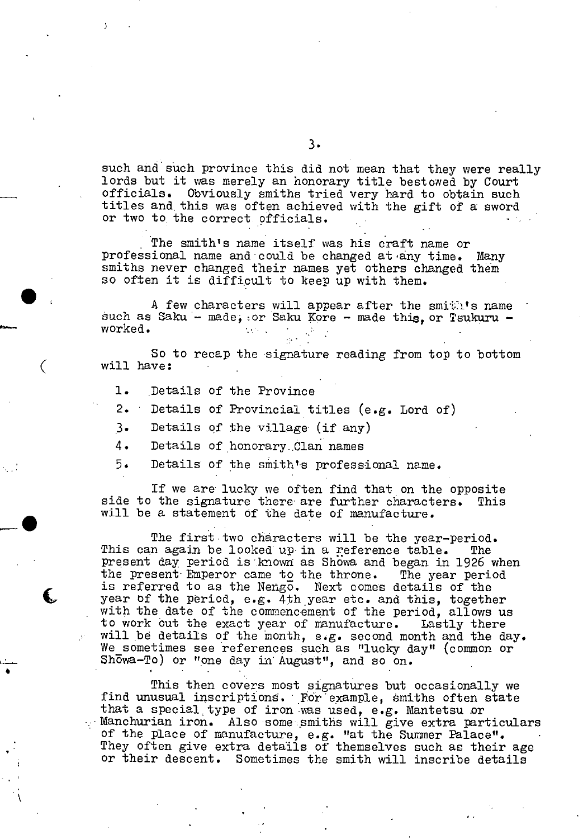such and such province this did not mean that they were really lords but it was merely an honorary title bestowed by Court officials. Obviously smiths tried very hard to obtain such titles and, this was often achieved with the gift of a sword or two to. the correct pfficials.

The smith's name itself was his craft name or professional name and could be changed at any time. Many smiths never changed their names yet others changed them so often it is difficult to keep up with them.

A few characters will appear after the smith's name such as Saku - made, or Saku Kore - made this, or Tsukuru -<br>worked.

So to recap the signature reading from top to bottom ( will have:

1. Details of the Province

 $\bullet$ 

- 2. ' Details of Provincial titles (e.g. Lord of)
- 3. Details of the village (if any)
- 4. Details of honorary Clan names
- 5. Details' of the smith's professional name.

If we are lucky we often find that on the opposite side to the signature there' are further characters. This will be a statement of the date of manufacture.

The first two characters will be the year-period.<br>In again be looked up in a reference table. The This can again be looked up in a reference table. present day period is known as Showa and began in 1926 when the present Emperor came to the throne. The year period is referred to as the Nengo. Next comes details of the year of the period, e.g. 4th year etc. and this, together with the date of the commencement of the period, allows us to work out the exact year of manufacture. Lastly there will be details of the month, e.g. second month and the day. We sometimes see references such as "lucky day" (common or Showa-To) or "one day in August", and so on.

> This then covers most signatures but occasionally we find unusual inscriptions. For example, smiths often state that a special, type of iron -was used, e.g. Mantetsu or Manchurian iron. Also 'some. smiths will give extra particulars of the place of manufacture, e.g. "at the Summer Palace". They often give extra details of themselves such as their age or their descent. Sometimes the smith will inscribe details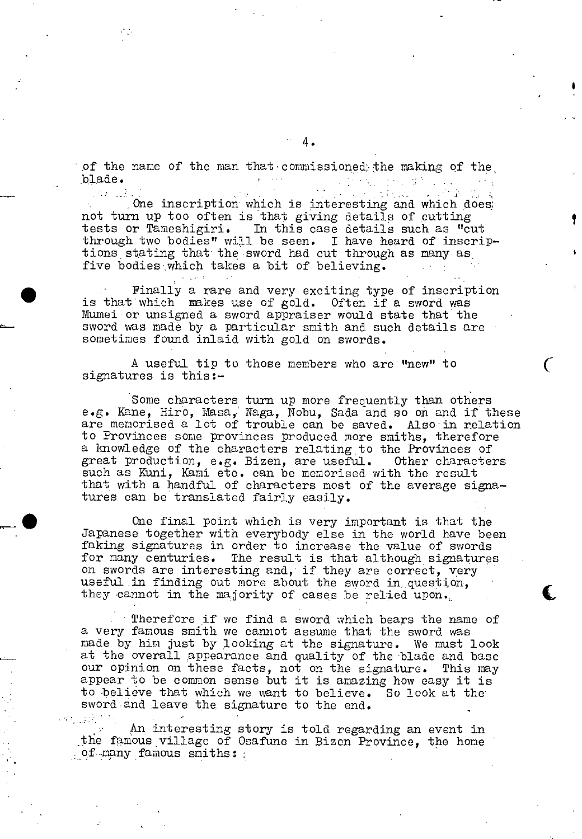of the name of the man that commissioned the making of the blade. blade. The contract of the contract of the contract of the contract of the contract of the contract of the contract of the contract of the contract of the contract of the contract of the contract of the contract of the con  $\overline{\mathbf{D}}$  .  $\overline{\mathbf{D}}$  .

One inscription which is interesting and which does; not tun up too often is that giving details of cutting tests or Tameshigiri. In this case details such as "cut through two bodies" will be seen. I have heard of inscriptions stating that the sword had cut through as many as five bodies which takes a bit of believing.

Finally a rare and very exciting type of inscription is that which makes use of gold. Often if a sword was Mumei'or unsigned a sword appraiser would state that the sword was made by a particular smith and such details are sometimes found inlaid with gold on swords.

A useful tip to those members who are "new" to signatures is this:-

Some characters turn up more frequently than others e.g. Kane, Hiro, Masa, Naga, Nobu, Sada and soon and if these are memorised a lot of trouble can be saved. Also in relation to Provinces some provinces produced more smiths, therefore a knowledge of the characters relating to the Provinces of great production, e.g. Bizen, are useful. Other characters such as Kuni, Kami etc. can be memorisod with the result that with a handful of characters most of the average signatures can be translated fairly easily.

One final point which is very important is that the Japanese together with everybody else in the world have been faking signatures in order to increase the value of swords for many centuries. The result is that although signatures on swords are interesting and, if they are correct, very useful in finding out more about the sword in question, they cannot in the majority of cases be relied upon.

Therefore if we find a sword which bears the name of a very famous smith we cannot assume that the sword was made by him just by looking at the signature. We must look at the overall appearance and quality of the blade and base our opinion on these facts, not on the signaturc. This may appear to be common sense but it is amazing how easy it is to believe that which we want to believe. So look at the sword and leave the signature to the end.

An interesting story is told regarding an event in the famous village of Osafune in Bizcn Province, the home of many famous smiths: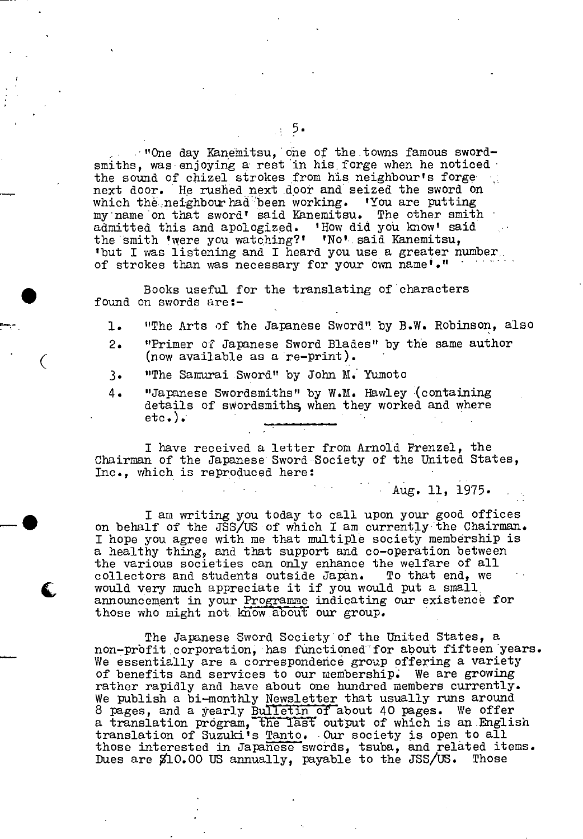$\cdot$  "One day Kanemitsu, one of the towns famous swordsmiths, was enjoying a rest in his forge when he noticed the sound of chizel strokes from his neighbour's forga next door. He rushed next door and seized the sword on which the neighbour had been working. 'You are putting my name on that sword' said Kanemitsu. The other smiti admitted this and apologized. 'How did you know' said the 'mith 'were you watching?' 'No'. said Kanemitsu, 'but I was listening and I heard you use a greater number,. of strokes than was necessary for your own name'."

. Books useful for the translating of'characters found on swords are:-

r. 1. "The Arts of the Japanese Sword" by B.W. Robinson, also

- 2. "Primer of Japanese Sword Blades" by the same author (now available as a re-print).<br>3. The Samurai Sword" by John M.
- 3. "The Samurai Sword" by John **Ma** Yumoto
- 4. "Japanese Swordsmiths" by W.M. Hawley (containing details of swordsmiths when they worked and where  $etc.$ ).

I have received a letter from Arnold Prenzel, the Chairman of the Japanese Sword''Society of the United States, Inc., which is reproduced here:

Aug. 11, 1975.

I am writing you today to call upon your good offices on behalf of the JSS/US'of which I am currentiy"the Chairman. I hope you agree with me that multiple society membership is a healthy thing, and that support and co-operation between the various societies can only enhance the welfare of all collectors and students outside Japan. To that end, we collectors and students outside Japan. would very much appreciate it if you would put a small, announcement in your Programme indicating our existence for those who might not know about our group.

> The Japanese Sword Society'of the United States, a non-profit corporation, has functioned for about fifteen years. We essentially are a correspondence group offering a variety of benefits and services to our membership. We are growing rather rapidly and have about one hundred members currently. We publish a bi-monthly Newsletter that usually runs around 8 pages, and a yearly Bulletin of about 40 pages. We offer a translation program, the last output of which is an English translation of Suzuki's Tanto. Our society is open, to all those interested in Japanese swords, tsuba, and related items. Dues are \$10.00 US annually, payable to the JSS/US. Those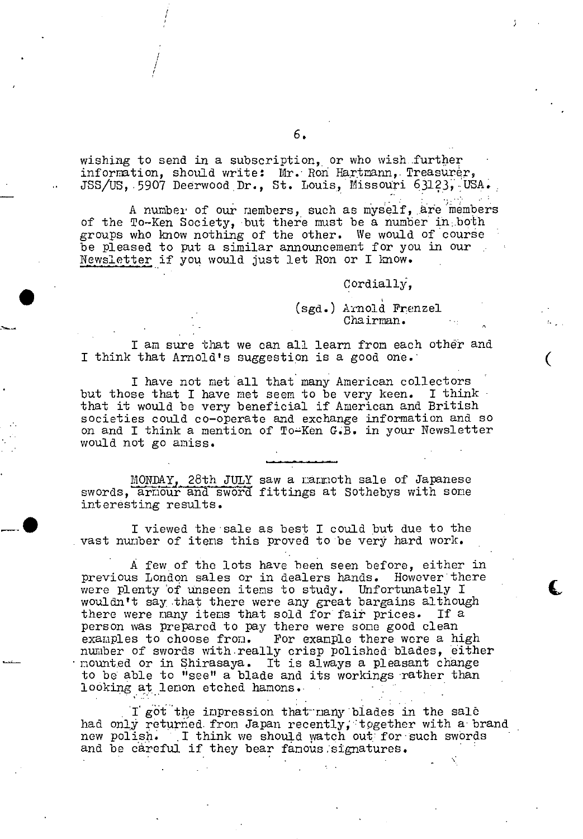wishing to send in a subscription, or who wish further information, should write: Mr. Ron Hartmann, Treasurer, JSS/US, 5907 Deerwood Dr., St. Louis, Missouri 63123, USA. :

/

A number of our members, such as myself, are members of the To-Ken Society, but there must be a number in both groups who know nothing of the other. We would of course be pleased to put a similar announcement for you in our Newsletter if you would just let Ron or I know.

# Cordially,

(sgd.) A:Mold Frenzel Chairman.

I am sure that we can all learn from each other and I think that Arnold's suggestion is a good one.

I have not met all that many American collectors but those that I have met seem to be very keen. that it would be very beneficial if American and British societies could co-operate and exchange information and so on and I think a mention of To-Ken G.B. in your Newsletter would not go amiss.

MONDAYj28th JULY saw a mammoth sale of Japanese swords, armour and sword fittings at Sothebys with some interesting results.

I viewed the sale as best I could but due to the vast number of items this proved to be very hard work.

A few of the lots have been seen before, either in previous London sales or in dealers hands. However there were plenty of unseen items to study. Unfortunately I wouldn't say that there were any great bargains although there were many items that sold for fait prices. If a person was preparcd to pay there were some good clean examples to choose from. For example there were a high number of swords with.really crisp polishod blades, either mounted or in Shirasaya. It is always a pleasant change to be able to "see" a blade and its workings rather than looking at lemon etched hamons. -

I got the impression that many blades in the sale had only returned from Japan recently, together with a brand new polish. I think we should watch out for such swords and be careful if they bear famous signatures.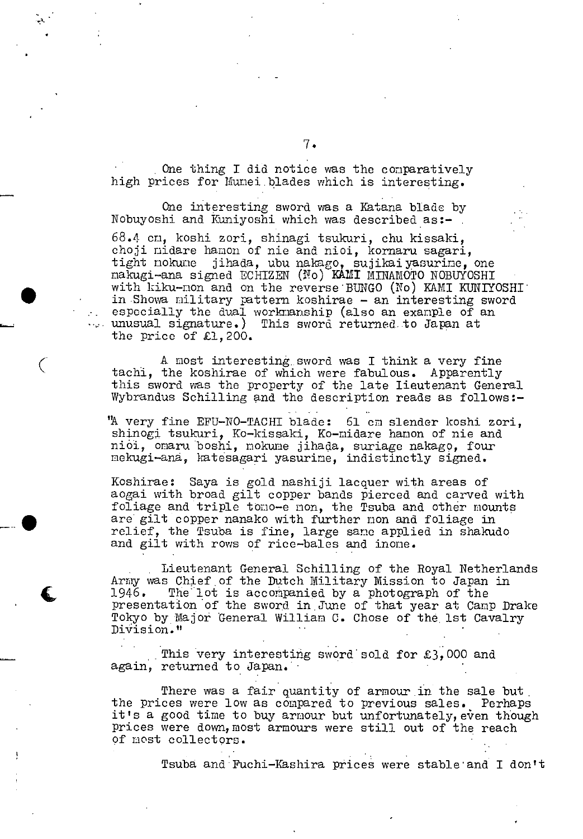One thing I did notice was the comparatively high prices for Munei.blades which is interesting.

One interesting sword was a Katana blade by Nobuyoshi and Kuniyoshi which was described as:-

68.4 cm, koshi zori, shinagi tsukuri, chu kissaki, choji nidare hamon of nie and nioi, kornaru sagari, tight nokune jihada, ubu nakago, sujikaiyasurine, one nakugi-ana signed ECHIZ2 (o) **KAMI** MINAMOTO NOBUYOSHI with kiku-non and on the reverse BUNGO (No) KAMI KUNIYOSHI in Showa military pattern koshirae - an interesting sword  $-$  especially the dual workmanship (also an example of an unusual signature.) This sword returned to Japan at the price of £1,200.

> A most interesting sword was I think a very fine tachi, the koshirae of which were fabulous. Apparently this sword was the property of the late Lieutenant General Wybrandus Schilling and the description reads as follows:-

> "A very fine EFU-NO-TACHI blade: 61 cm slender koshi zori, shinogi tsukuri, Ko-kissaki, Ko-midare hamon of nie and niôi, omaru boshi, nokume jihada, suriage nakago, four mekugi-ana, katesagari yasurime, indistinctly signed.

> Koshirae: Saya is gold nashiji lacquer with areas of aogai with broad gilt copper bands pierced and carved with foliage and triple tomo-e non, the Tsuba and other mounts **5** are gilt copper nanako with further non and foliage in relief, the Tsuba is fine, large sane applied in shakudo and gilt with rows of rice-bales and inone.

Lieutenant General Schilling of the Royal Netherlands Army was Chief of the Dutch Military Mission to Japan in 1946. The lot is accompanied by a photograph of the presentation of the sword in June of that year at Camp Drake Tokyo by Major General William C. Chose of the 1st Cavalry Division."

This very interesting sword sold for £3,000 and again, returned to Japan.

There was a fair quantity of armour in the sale but, the prices were low as compared to previous sales. Perhaps it's a good time to buy armour but unfortunately, even though prices were down, most armours were still out of the reach of most collectors.

Tsuba and Fuchi-Kashira prices were stable and I don't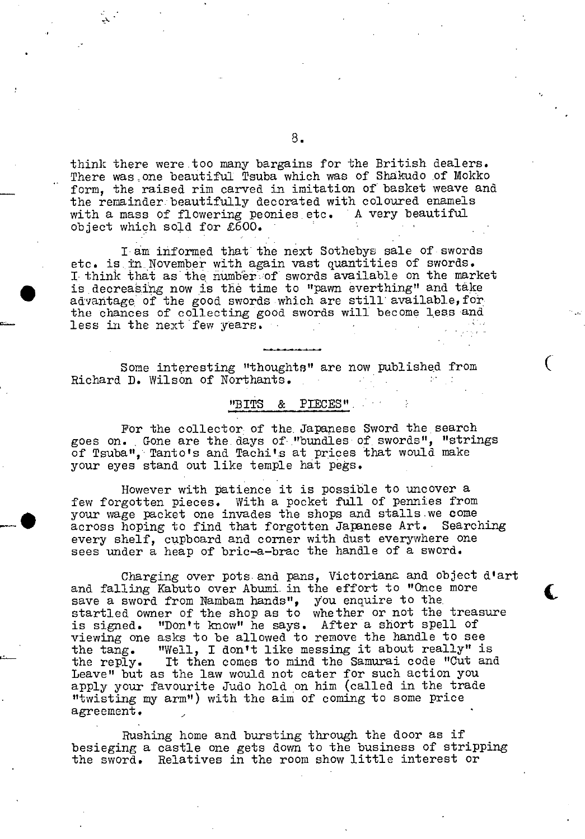think there were .too many bargains for the British dealers. There was.one beautiful Tsuba which was of Shakudo of Mokko form, the raised rim carved in imitation of basket weave and the remainder:beautifülly decorated with coloured enamels with a mass of flowering peonies etc. A very beautiful object which so]d for £600.

I am informed that the next Sothebys sale of swords etc. is in. November with again vast quantities of swords. I think that as the number of swords available on the market is decreasing now is the time to "pawn everthing" and take advantage of the good swords which are still available, for the chances of collecting good swords will become less and less in the next few years.

Some interesting "thoughts" are now published from ( Richard D. Wilson of Northants.  $\sim$ 

## "BITS & PflCES"

For the collector of the. Japanese Sword the search goes on. Gone are the. days of "bundles of swords", "strings of Tsuba", Tanto's and Tachi's at prices that would make your eyes stand out like temple hat pegs.

However with patience it is possible to uncover a few forgotten pieces. With a pocket full of pennies from . your wage packet one invades the shops and stalls we come across hoping to find that forgotten Japanese Art. Searching every shelf, cupboard and corner with dust everywhere one sees under a heap of bric-a-brac the handle of a sword.

Charging over pots and pans, Victoriana and object d'art and falling Kabuto over Abumi. in the effort to "Once more save a sword from Nambam hands", you enquire to the startled owner of the shop as to whether or not the treasure is signed. "Don't know" he says. After a short spell of viewing one asks to be allowed to remove the handle to see the tang. "Well, I don't like messing it about really" is the reply. It then comes to mind the Samurai code "Cut and Leave" but as the law would not cater for such action you apply your favourite Judo hold on him (called in the trade "twisting my arm") with the aim of coming to some price agreement.

Rushing home and bursting through the door as if besieging a castle one gets down to the business of stripping the sword. Relatives in the room show little interest or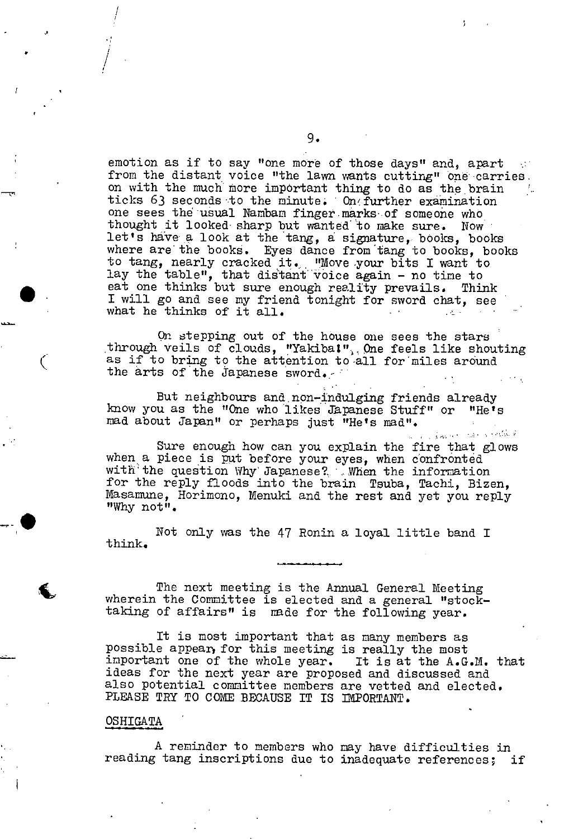emotion as if to say "one more of those days" and, apart from the distant voice "the lawn wants cutting" one carries. on with the much more important thing to do as the brain ticks 63 seconds to the minute. On further examination one sees the usual Nambam finger marks of someone who thought it looked- sharp but wanted to make sure. Now let's have a look at the tang, a signature, books, books where are the books. Eyes dance from tang to books, books to tang, nearly cracked it. "Move your bits I want to lay the table", that distant 'voice again - no time to eat one thinks but sure enough reality prevails. Think I will go and see my friend tonight for sword chat, see what he thinks of it all.  $\mathcal{L}(\mathcal{A})$  .

> On stepping out of the house one sees the stars through veils of clouds, "Yakiba!", One feels like shouting as if to bring to the attention to all for miles around the arts of the Japanese sword.

But neighbours and, non—indulging friends already know you as the "One who likes Japanese Stuff" or "He's mad about Japan" or perhaps just "He's mad".

• Sure enough how can you explain the fire that glows when a piece is put before your eyes, when confronted with'the question Why' Japanese?..' ,.When the information for the reply floods into the brain Teuba, Tachi, Bizen, Masamune, Horimono, Menuki and the rest and yet you reply "Why not".

> Not only was the 47 Ronin a loyal little band I think.

> 4. The next meeting is the Annual General Meeting wherein the Committee is elected and a general "stocktaking of affairs" is made for the following year.

It is most important that as many members as possible appear, for this meeting is really the most<br>important one of the whole year. It is at the A.G.M. that important one of the whole year. ideas for the next year are proposed and discussed and also potential committee members are vetted and elected. PLEASE TRY TO COME BECAUSE IT IS IMPORTANT.

#### OSHIGATA

/

 $\int$ 

-p

A reminder to members who may have difficulties in reading tang inscriptions due to inadequate references; if